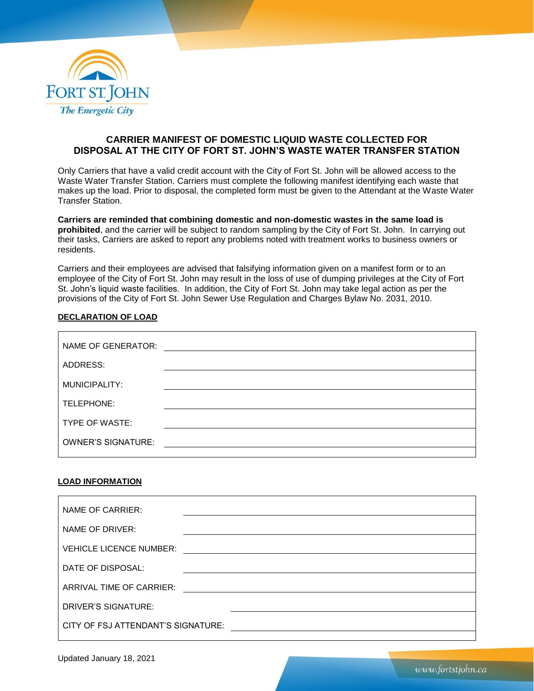

## **CARRIER MANIFEST OF DOMESTIC LIQUID WASTE COLLECTED FOR DISPOSAL AT THE CITY OF FORT ST. JOHN'S WASTE WATER TRANSFER STATION**

Only Carriers that have a valid credit account with the City of Fort St. John will be allowed access to the Waste Water Transfer Station. Carriers must complete the following manifest identifying each waste that makes up the load. Prior to disposal, the completed form must be given to the Attendant at the Waste Water Transfer Station.

**Carriers are reminded that combining domestic and non-domestic wastes in the same load is prohibited**, and the carrier will be subject to random sampling by the City of Fort St. John. In carrying out their tasks, Carriers are asked to report any problems noted with treatment works to business owners or residents.

Carriers and their employees are advised that falsifying information given on a manifest form or to an employee of the City of Fort St. John may result in the loss of use of dumping privileges at the City of Fort St. John's liquid waste facilities. In addition, the City of Fort St. John may take legal action as per the provisions of the City of Fort St. John Sewer Use Regulation and Charges Bylaw No. 2031, 2010.

## **DECLARATION OF LOAD**

| NAME OF GENERATOR:        |  |
|---------------------------|--|
| ADDRESS:                  |  |
| MUNICIPALITY:             |  |
| TELEPHONE:                |  |
| TYPE OF WASTE:            |  |
| <b>OWNER'S SIGNATURE:</b> |  |
|                           |  |

## **LOAD INFORMATION**

| NAME OF CARRIER:                   |  |  |
|------------------------------------|--|--|
| NAME OF DRIVER:                    |  |  |
| <b>VEHICLE LICENCE NUMBER:</b>     |  |  |
| DATE OF DISPOSAL:                  |  |  |
| ARRIVAL TIME OF CARRIER:           |  |  |
| DRIVER'S SIGNATURE:                |  |  |
| CITY OF FSJ ATTENDANT'S SIGNATURE: |  |  |